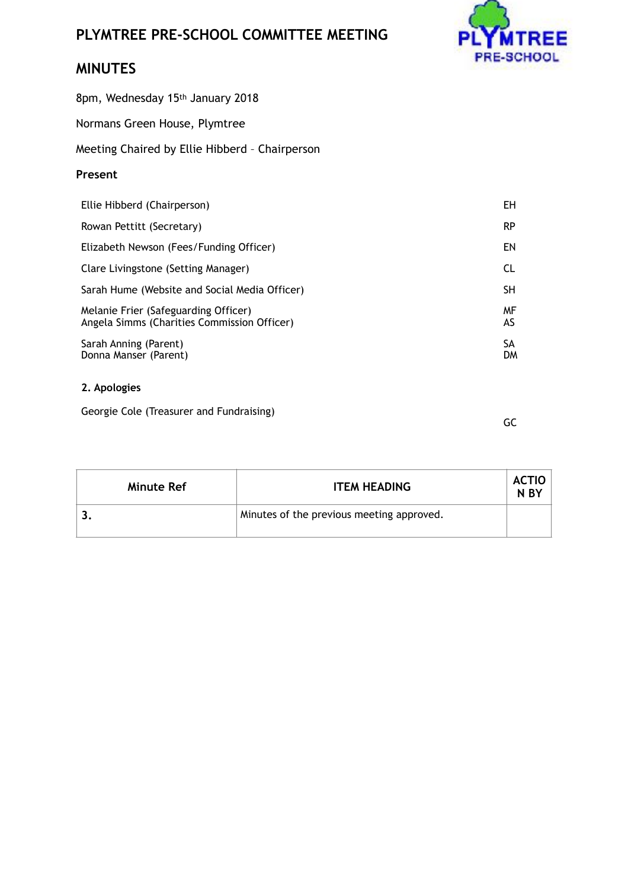## **PLYMTREE PRE-SCHOOL COMMITTEE MEETING**



## **MINUTES**

8pm, Wednesday 15th January 2018

Normans Green House, Plymtree

Meeting Chaired by Ellie Hibberd – Chairperson

## **Present**

| Ellie Hibberd (Chairperson)                                                         | EH        |
|-------------------------------------------------------------------------------------|-----------|
| Rowan Pettitt (Secretary)                                                           | <b>RP</b> |
| Elizabeth Newson (Fees/Funding Officer)                                             | ΕN        |
| Clare Livingstone (Setting Manager)                                                 | <b>CL</b> |
| Sarah Hume (Website and Social Media Officer)                                       | <b>SH</b> |
| Melanie Frier (Safeguarding Officer)<br>Angela Simms (Charities Commission Officer) | MF<br>AS  |
| Sarah Anning (Parent)<br>Donna Manser (Parent)                                      | SА<br>DM  |

## **2. Apologies**

Georgie Cole (Treasurer and Fundraising)

GC

| Minute Ref | <b>ITEM HEADING</b>                       | ACTIO<br>N <sub>BY</sub> |
|------------|-------------------------------------------|--------------------------|
|            | Minutes of the previous meeting approved. |                          |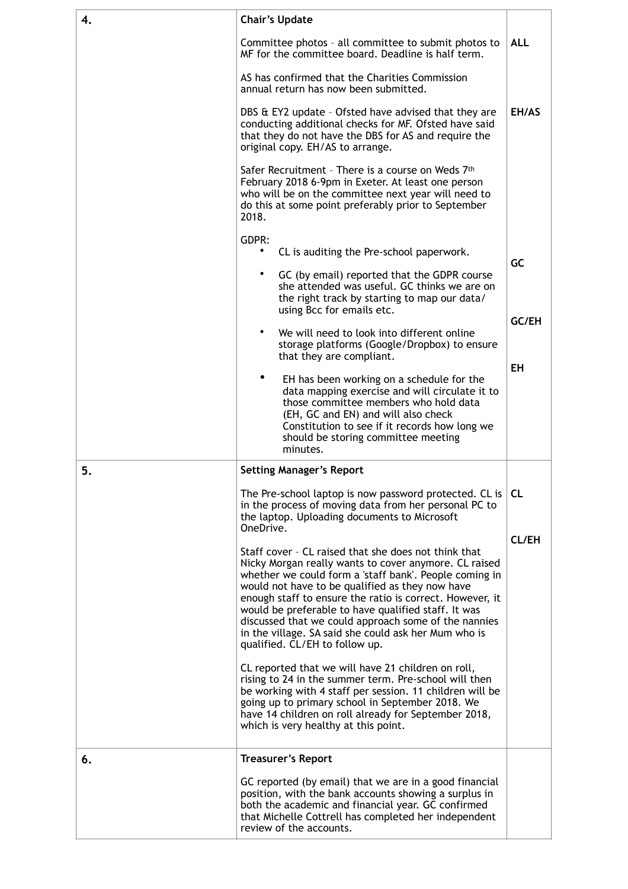| 4. | <b>Chair's Update</b>                                                                                                                                                                                                                                                                                                                                                                                                                                                                           |              |  |
|----|-------------------------------------------------------------------------------------------------------------------------------------------------------------------------------------------------------------------------------------------------------------------------------------------------------------------------------------------------------------------------------------------------------------------------------------------------------------------------------------------------|--------------|--|
|    | Committee photos - all committee to submit photos to<br>MF for the committee board. Deadline is half term.                                                                                                                                                                                                                                                                                                                                                                                      |              |  |
|    | AS has confirmed that the Charities Commission<br>annual return has now been submitted.                                                                                                                                                                                                                                                                                                                                                                                                         |              |  |
|    | DBS & EY2 update - Ofsted have advised that they are<br>conducting additional checks for MF. Ofsted have said<br>that they do not have the DBS for AS and require the<br>original copy. EH/AS to arrange.                                                                                                                                                                                                                                                                                       |              |  |
|    | Safer Recruitment - There is a course on Weds 7th<br>February 2018 6-9pm in Exeter. At least one person<br>who will be on the committee next year will need to<br>do this at some point preferably prior to September<br>2018.                                                                                                                                                                                                                                                                  |              |  |
|    | GDPR:<br>CL is auditing the Pre-school paperwork.                                                                                                                                                                                                                                                                                                                                                                                                                                               |              |  |
|    | GC (by email) reported that the GDPR course<br>she attended was useful. GC thinks we are on<br>the right track by starting to map our data/<br>using Bcc for emails etc.                                                                                                                                                                                                                                                                                                                        | GC           |  |
|    | We will need to look into different online<br>storage platforms (Google/Dropbox) to ensure<br>that they are compliant.                                                                                                                                                                                                                                                                                                                                                                          | GC/EH        |  |
|    | EH has been working on a schedule for the<br>data mapping exercise and will circulate it to<br>those committee members who hold data<br>(EH, GC and EN) and will also check<br>Constitution to see if it records how long we<br>should be storing committee meeting<br>minutes.                                                                                                                                                                                                                 | <b>EH</b>    |  |
| 5. | <b>Setting Manager's Report</b>                                                                                                                                                                                                                                                                                                                                                                                                                                                                 |              |  |
|    | The Pre-school laptop is now password protected. CL is<br>in the process of moving data from her personal PC to<br>the laptop. Uploading documents to Microsoft<br>OneDrive.                                                                                                                                                                                                                                                                                                                    | <b>CL</b>    |  |
|    | Staff cover - CL raised that she does not think that<br>Nicky Morgan really wants to cover anymore. CL raised<br>whether we could form a 'staff bank'. People coming in<br>would not have to be qualified as they now have<br>enough staff to ensure the ratio is correct. However, it<br>would be preferable to have qualified staff. It was<br>discussed that we could approach some of the nannies<br>in the village. SA said she could ask her Mum who is<br>qualified. CL/EH to follow up. | <b>CL/EH</b> |  |
|    | CL reported that we will have 21 children on roll,<br>rising to 24 in the summer term. Pre-school will then<br>be working with 4 staff per session. 11 children will be<br>going up to primary school in September 2018. We<br>have 14 children on roll already for September 2018,<br>which is very healthy at this point.                                                                                                                                                                     |              |  |
| 6. | <b>Treasurer's Report</b>                                                                                                                                                                                                                                                                                                                                                                                                                                                                       |              |  |
|    | GC reported (by email) that we are in a good financial<br>position, with the bank accounts showing a surplus in<br>both the academic and financial year. GC confirmed<br>that Michelle Cottrell has completed her independent<br>review of the accounts.                                                                                                                                                                                                                                        |              |  |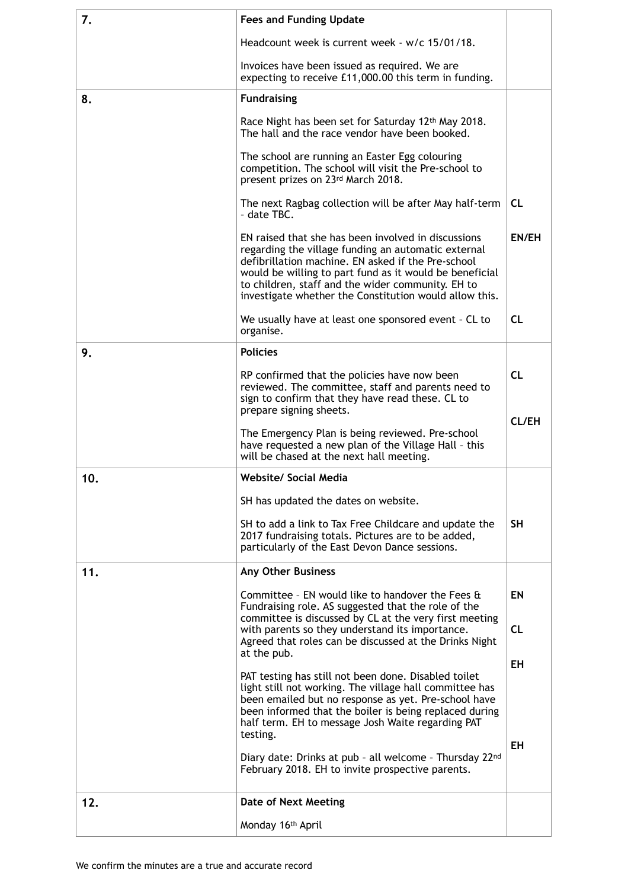| 7.  | <b>Fees and Funding Update</b>                                                                                                                                                                                                                                                                                                             |              |
|-----|--------------------------------------------------------------------------------------------------------------------------------------------------------------------------------------------------------------------------------------------------------------------------------------------------------------------------------------------|--------------|
|     | Headcount week is current week - w/c 15/01/18.                                                                                                                                                                                                                                                                                             |              |
|     | Invoices have been issued as required. We are<br>expecting to receive £11,000.00 this term in funding.                                                                                                                                                                                                                                     |              |
| 8.  | <b>Fundraising</b>                                                                                                                                                                                                                                                                                                                         |              |
|     | Race Night has been set for Saturday 12th May 2018.<br>The hall and the race vendor have been booked.                                                                                                                                                                                                                                      |              |
|     | The school are running an Easter Egg colouring<br>competition. The school will visit the Pre-school to<br>present prizes on 23rd March 2018.                                                                                                                                                                                               |              |
|     | The next Ragbag collection will be after May half-term<br>- date TBC.                                                                                                                                                                                                                                                                      | <b>CL</b>    |
|     | EN raised that she has been involved in discussions<br>regarding the village funding an automatic external<br>defibrillation machine. EN asked if the Pre-school<br>would be willing to part fund as it would be beneficial<br>to children, staff and the wider community. EH to<br>investigate whether the Constitution would allow this. | <b>EN/EH</b> |
|     | We usually have at least one sponsored event - CL to<br>organise.                                                                                                                                                                                                                                                                          | <b>CL</b>    |
| 9.  | <b>Policies</b>                                                                                                                                                                                                                                                                                                                            |              |
|     | RP confirmed that the policies have now been<br>reviewed. The committee, staff and parents need to<br>sign to confirm that they have read these. CL to<br>prepare signing sheets.                                                                                                                                                          | <b>CL</b>    |
|     | The Emergency Plan is being reviewed. Pre-school<br>have requested a new plan of the Village Hall - this<br>will be chased at the next hall meeting.                                                                                                                                                                                       | <b>CL/EH</b> |
| 10. | <b>Website/ Social Media</b>                                                                                                                                                                                                                                                                                                               |              |
|     | SH has updated the dates on website.                                                                                                                                                                                                                                                                                                       |              |
|     | SH to add a link to Tax Free Childcare and update the<br>2017 fundraising totals. Pictures are to be added,<br>particularly of the East Devon Dance sessions.                                                                                                                                                                              | <b>SH</b>    |
| 11. | <b>Any Other Business</b>                                                                                                                                                                                                                                                                                                                  |              |
|     | Committee - EN would like to handover the Fees &<br>Fundraising role. AS suggested that the role of the<br>committee is discussed by CL at the very first meeting                                                                                                                                                                          | EN           |
|     | with parents so they understand its importance.<br>Agreed that roles can be discussed at the Drinks Night<br>at the pub.                                                                                                                                                                                                                   | <b>CL</b>    |
|     | PAT testing has still not been done. Disabled toilet<br>light still not working. The village hall committee has<br>been emailed but no response as yet. Pre-school have<br>been informed that the boiler is being replaced during<br>half term. EH to message Josh Waite regarding PAT<br>testing.                                         | EH           |
|     | Diary date: Drinks at pub - all welcome - Thursday 22nd<br>February 2018. EH to invite prospective parents.                                                                                                                                                                                                                                | ΕH           |
| 12. | Date of Next Meeting                                                                                                                                                                                                                                                                                                                       |              |
|     | Monday 16th April                                                                                                                                                                                                                                                                                                                          |              |